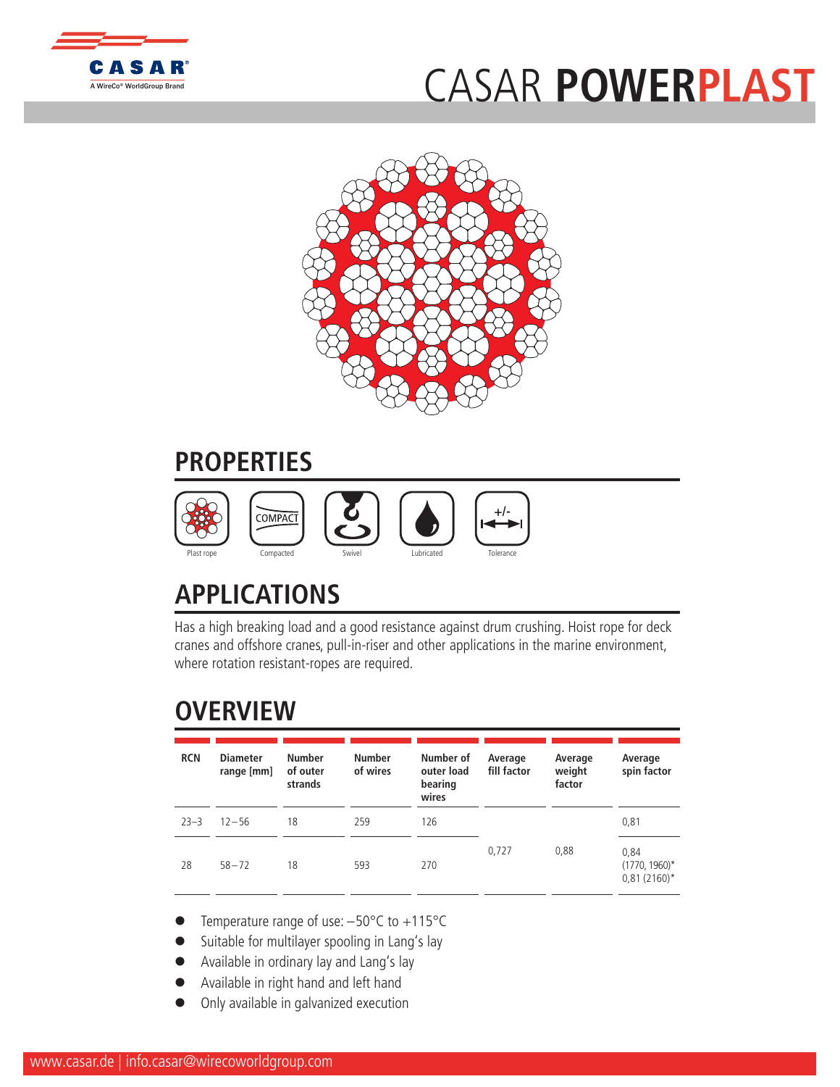

## [C](http://www.casar.de)ASAR **PO[WERPLAST](http://www.WireCoWorldGroup.com)**



## **PROPERTIES**



## **APPLICATIONS**

Has a high breaking load and a good resistance against drum crushing. Hoist rope for deck cranes and offshore cranes, pull-in-riser and other applications in the marine environment, where rotation resistant-ropes are required.

## **OVERVIEW**

| <b>RCN</b> | <b>Diameter</b><br>range [mm] | <b>Number</b><br>of outer<br>strands | <b>Number</b><br>of wires | Number of<br>outer load<br>bearing<br>wires | Average<br>fill factor | Average<br>weight<br>factor | Average<br>spin factor                     |
|------------|-------------------------------|--------------------------------------|---------------------------|---------------------------------------------|------------------------|-----------------------------|--------------------------------------------|
| $23 - 3$   | $12 - 56$                     | 18                                   | 259                       | 126                                         |                        |                             | 0,81                                       |
| 28         | $58 - 72$                     | 18                                   | 593                       | 270                                         | 0,727                  | 0,88                        | 0,84<br>$(1770, 1960)^*$<br>$0,81(2160)^*$ |

- Temperature range of use:  $-50^{\circ}$ C to  $+115^{\circ}$ C
- Suitable for multilayer spooling in Lang's lay
- Available in ordinary lay and Lang's lay
- l Available in right hand and left hand
- Only available in galvanized execution